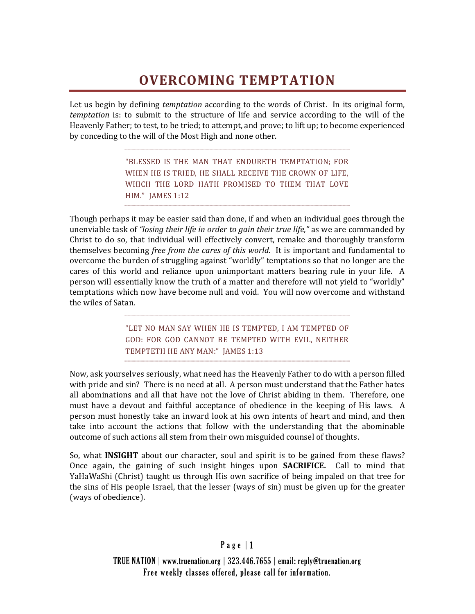## **OVERCOMING TEMPTATION**

Let us begin by defining *temptation* according to the words of Christ. In its original form, *temptation* is: to submit to the structure of life and service according to the will of the Heavenly Father; to test, to be tried; to attempt, and prove; to lift up; to become experienced by conceding to the will of the Most High and none other.

> "BLESSED IS THE MAN THAT ENDURETH TEMPTATION; FOR WHEN HE IS TRIED, HE SHALL RECEIVE THE CROWN OF LIFE, WHICH THE LORD HATH PROMISED TO THEM THAT LOVE HIM." JAMES 1:12

Though perhaps it may be easier said than done, if and when an individual goes through the unenviable task of *"losing their life in order to gain their true life,"* as we are commanded by Christ to do so, that individual will effectively convert, remake and thoroughly transform themselves becoming *free from the cares of this world.* It is important and fundamental to overcome the burden of struggling against "worldly" temptations so that no longer are the cares of this world and reliance upon unimportant matters bearing rule in your life. A person will essentially know the truth of a matter and therefore will not yield to "worldly" temptations which now have become null and void. You will now overcome and withstand the wiles of Satan.

> "LET NO MAN SAY WHEN HE IS TEMPTED, I AM TEMPTED OF GOD: FOR GOD CANNOT BE TEMPTED WITH EVIL, NEITHER TEMPTETH HE ANY MAN:" JAMES 1:13

Now, ask yourselves seriously, what need has the Heavenly Father to do with a person filled with pride and sin? There is no need at all. A person must understand that the Father hates all abominations and all that have not the love of Christ abiding in them. Therefore, one must have a devout and faithful acceptance of obedience in the keeping of His laws. A person must honestly take an inward look at his own intents of heart and mind, and then take into account the actions that follow with the understanding that the abominable outcome of such actions all stem from their own misguided counsel of thoughts.

So, what **INSIGHT** about our character, soul and spirit is to be gained from these flaws? Once again, the gaining of such insight hinges upon **SACRIFICE.** Call to mind that YaHaWaShi (Christ) taught us through His own sacrifice of being impaled on that tree for the sins of His people Israel, that the lesser (ways of sin) must be given up for the greater (ways of obedience).

## Page | 1

TRUE NATION | www.truenation.org | 323.446.7655 | email: reply@truenation.org Free weekly classes offered, please call for information.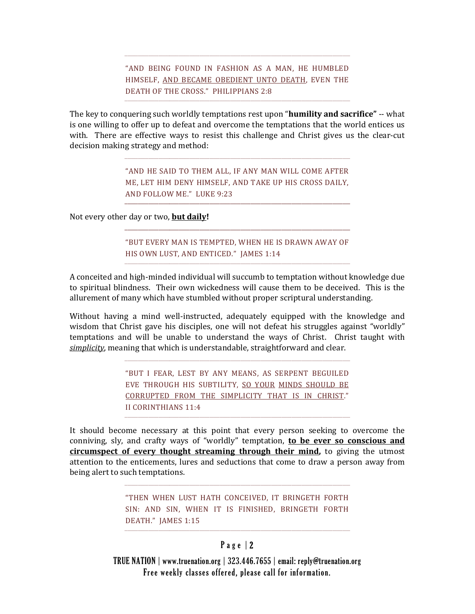"AND BEING FOUND IN FASHION AS A MAN, HE HUMBLED HIMSELF, AND BECAME OBEDIENT UNTO DEATH, EVEN THE DEATH OF THE CROSS." PHILIPPIANS 2:8

The key to conquering such worldly temptations rest upon "**humility and sacrifice"** -- what is one willing to offer up to defeat and overcome the temptations that the world entices us with. There are effective ways to resist this challenge and Christ gives us the clear-cut decision making strategy and method:

> "AND HE SAID TO THEM ALL, IF ANY MAN WILL COME AFTER ME, LET HIM DENY HIMSELF, AND TAKE UP HIS CROSS DAILY, AND FOLLOW ME." LUKE 9:23

Not every other day or two, **but daily!**

"BUT EVERY MAN IS TEMPTED, WHEN HE IS DRAWN AWAY OF HIS OWN LUST, AND ENTICED." JAMES 1:14

A conceited and high-minded individual will succumb to temptation without knowledge due to spiritual blindness. Their own wickedness will cause them to be deceived. This is the allurement of many which have stumbled without proper scriptural understanding.

Without having a mind well-instructed, adequately equipped with the knowledge and wisdom that Christ gave his disciples, one will not defeat his struggles against "worldly" temptations and will be unable to understand the ways of Christ. Christ taught with *simplicity*, meaning that which is understandable, straightforward and clear.

> "BUT I FEAR, LEST BY ANY MEANS, AS SERPENT BEGUILED EVE THROUGH HIS SUBTILITY, SO YOUR MINDS SHOULD BE CORRUPTED FROM THE SIMPLICITY THAT IS IN CHRIST." II CORINTHIANS 11:4

It should become necessary at this point that every person seeking to overcome the conniving, sly, and crafty ways of "worldly" temptation, **to be ever so conscious and circumspect of every thought streaming through their mind,** to giving the utmost attention to the enticements, lures and seductions that come to draw a person away from being alert to such temptations.

> "THEN WHEN LUST HATH CONCEIVED, IT BRINGETH FORTH SIN: AND SIN, WHEN IT IS FINISHED, BRINGETH FORTH DEATH." JAMES 1:15

## Page | 2

TRUE NATION | www.truenation.org | 323.446.7655 | email: reply@truenation.org Free weekly classes offered, please call for information.